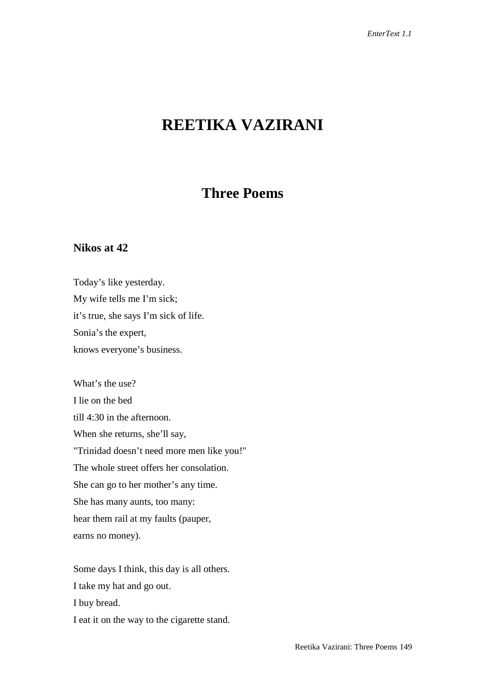# **REETIKA VAZIRANI**

## **Three Poems**

### **Nikos at 42**

Today's like yesterday. My wife tells me I'm sick; it's true, she says I'm sick of life. Sonia's the expert, knows everyone's business.

What's the use? I lie on the bed till 4:30 in the afternoon. When she returns, she'll say, "Trinidad doesn't need more men like you!" The whole street offers her consolation. She can go to her mother's any time. She has many aunts, too many: hear them rail at my faults (pauper, earns no money).

Some days I think, this day is all others. I take my hat and go out. I buy bread. I eat it on the way to the cigarette stand.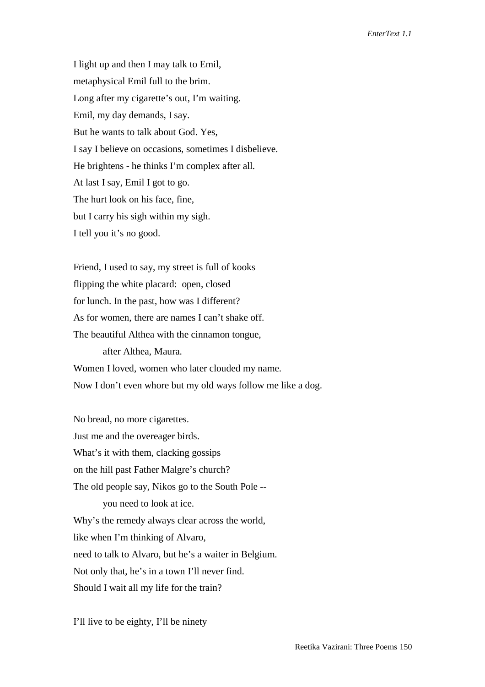I light up and then I may talk to Emil, metaphysical Emil full to the brim. Long after my cigarette's out, I'm waiting. Emil, my day demands, I say. But he wants to talk about God. Yes, I say I believe on occasions, sometimes I disbelieve. He brightens - he thinks I'm complex after all. At last I say, Emil I got to go. The hurt look on his face, fine, but I carry his sigh within my sigh. I tell you it's no good.

Friend, I used to say, my street is full of kooks flipping the white placard: open, closed for lunch. In the past, how was I different? As for women, there are names I can't shake off. The beautiful Althea with the cinnamon tongue, after Althea, Maura. Women I loved, women who later clouded my name. Now I don't even whore but my old ways follow me like a dog.

No bread, no more cigarettes. Just me and the overeager birds. What's it with them, clacking gossips on the hill past Father Malgre's church? The old people say, Nikos go to the South Pole - you need to look at ice. Why's the remedy always clear across the world, like when I'm thinking of Alvaro, need to talk to Alvaro, but he's a waiter in Belgium. Not only that, he's in a town I'll never find. Should I wait all my life for the train?

I'll live to be eighty, I'll be ninety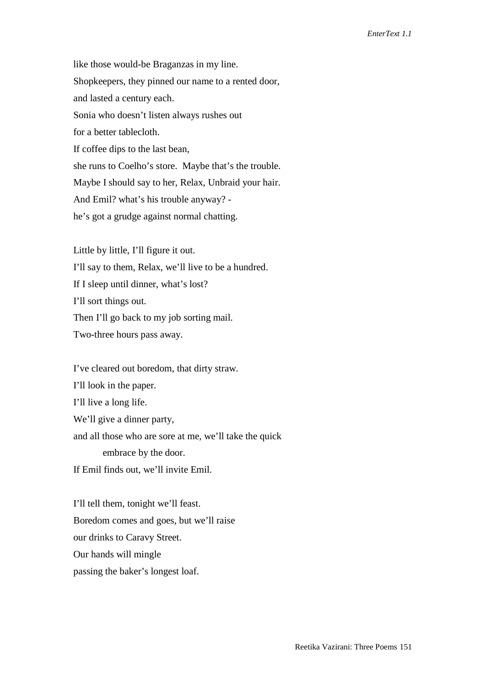like those would-be Braganzas in my line. Shopkeepers, they pinned our name to a rented door, and lasted a century each. Sonia who doesn't listen always rushes out for a better tablecloth. If coffee dips to the last bean, she runs to Coelho's store. Maybe that's the trouble. Maybe I should say to her, Relax, Unbraid your hair. And Emil? what's his trouble anyway? he's got a grudge against normal chatting.

Little by little, I'll figure it out. I'll say to them, Relax, we'll live to be a hundred. If I sleep until dinner, what's lost? I'll sort things out. Then I'll go back to my job sorting mail. Two-three hours pass away.

I've cleared out boredom, that dirty straw. I'll look in the paper. I'll live a long life. We'll give a dinner party, and all those who are sore at me, we'll take the quick embrace by the door. If Emil finds out, we'll invite Emil.

I'll tell them, tonight we'll feast. Boredom comes and goes, but we'll raise our drinks to Caravy Street. Our hands will mingle passing the baker's longest loaf.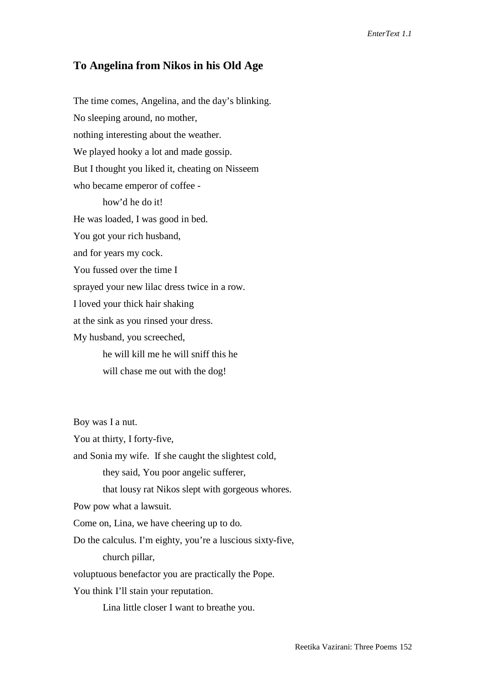#### **To Angelina from Nikos in his Old Age**

The time comes, Angelina, and the day's blinking. No sleeping around, no mother, nothing interesting about the weather. We played hooky a lot and made gossip. But I thought you liked it, cheating on Nisseem who became emperor of coffee how'd he do it! He was loaded, I was good in bed. You got your rich husband, and for years my cock. You fussed over the time I sprayed your new lilac dress twice in a row. I loved your thick hair shaking at the sink as you rinsed your dress. My husband, you screeched, he will kill me he will sniff this he will chase me out with the dog!

Boy was I a nut.

You at thirty, I forty-five,

and Sonia my wife. If she caught the slightest cold,

they said, You poor angelic sufferer,

that lousy rat Nikos slept with gorgeous whores.

Pow pow what a lawsuit.

Come on, Lina, we have cheering up to do.

Do the calculus. I'm eighty, you're a luscious sixty-five,

church pillar,

voluptuous benefactor you are practically the Pope.

You think I'll stain your reputation.

Lina little closer I want to breathe you.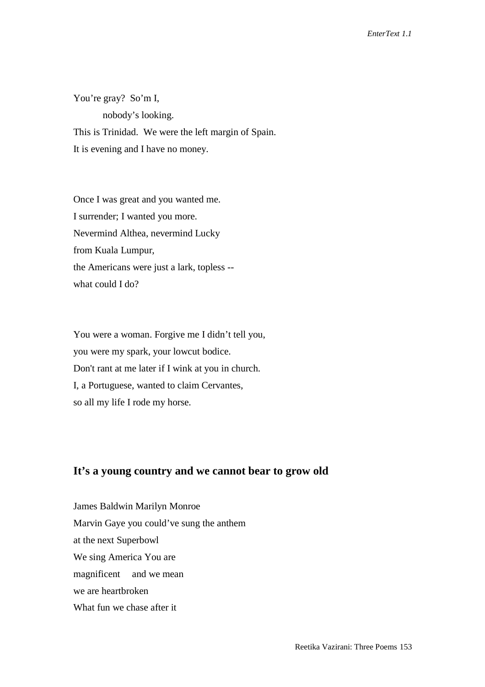You're gray? So'm I, nobody's looking. This is Trinidad. We were the left margin of Spain. It is evening and I have no money.

Once I was great and you wanted me. I surrender; I wanted you more. Nevermind Althea, nevermind Lucky from Kuala Lumpur, the Americans were just a lark, topless - what could I do?

You were a woman. Forgive me I didn't tell you, you were my spark, your lowcut bodice. Don't rant at me later if I wink at you in church. I, a Portuguese, wanted to claim Cervantes, so all my life I rode my horse.

### **It's a young country and we cannot bear to grow old**

James Baldwin Marilyn Monroe Marvin Gaye you could've sung the anthem at the next Superbowl We sing America You are magnificent and we mean we are heartbroken What fun we chase after it